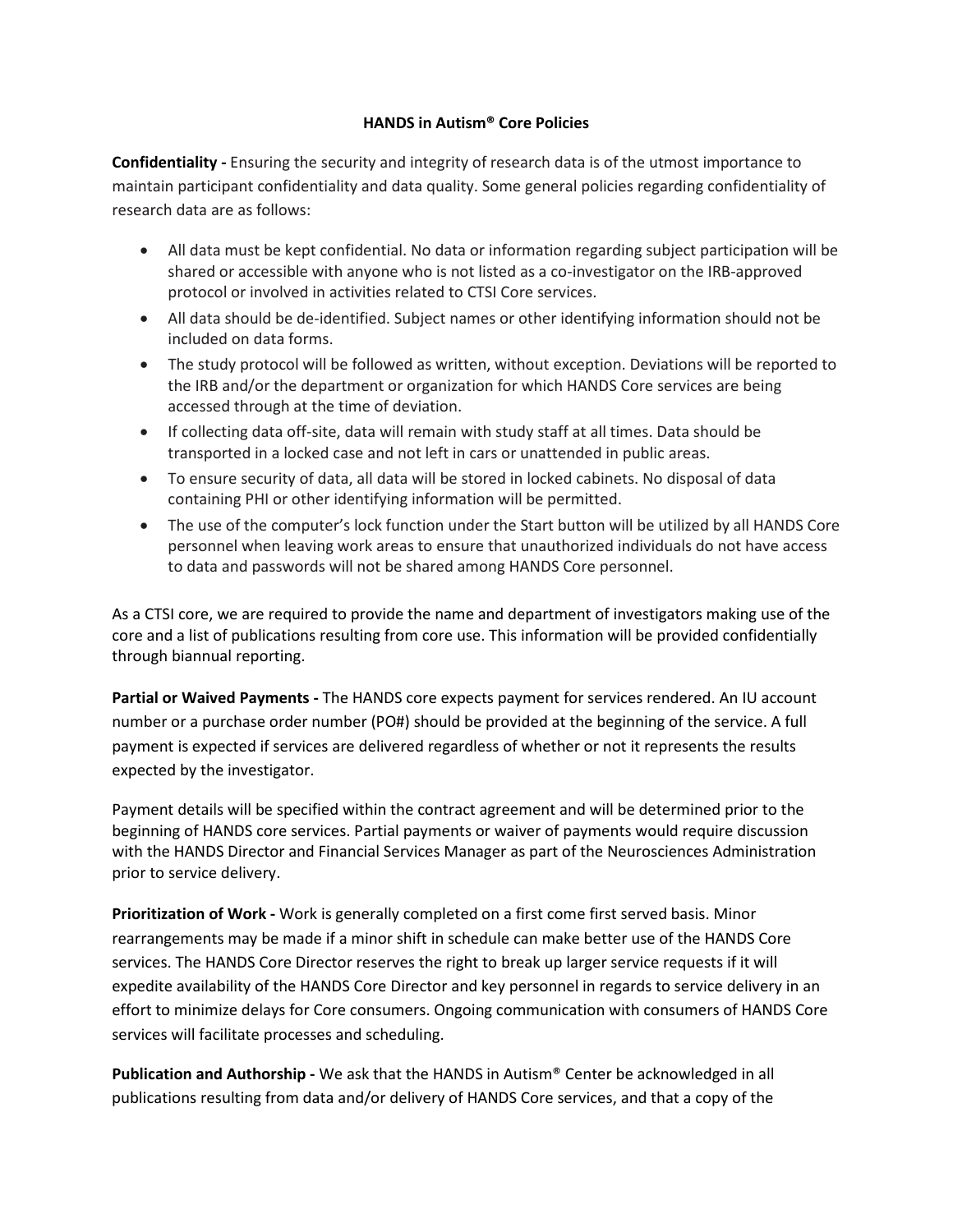## **HANDS in Autism® Core Policies**

**Confidentiality -** Ensuring the security and integrity of research data is of the utmost importance to maintain participant confidentiality and data quality. Some general policies regarding confidentiality of research data are as follows:

- All data must be kept confidential. No data or information regarding subject participation will be shared or accessible with anyone who is not listed as a co-investigator on the IRB-approved protocol or involved in activities related to CTSI Core services.
- All data should be de-identified. Subject names or other identifying information should not be included on data forms.
- The study protocol will be followed as written, without exception. Deviations will be reported to the IRB and/or the department or organization for which HANDS Core services are being accessed through at the time of deviation.
- If collecting data off-site, data will remain with study staff at all times. Data should be transported in a locked case and not left in cars or unattended in public areas.
- To ensure security of data, all data will be stored in locked cabinets. No disposal of data containing PHI or other identifying information will be permitted.
- The use of the computer's lock function under the Start button will be utilized by all HANDS Core personnel when leaving work areas to ensure that unauthorized individuals do not have access to data and passwords will not be shared among HANDS Core personnel.

As a CTSI core, we are required to provide the name and department of investigators making use of the core and a list of publications resulting from core use. This information will be provided confidentially through biannual reporting.

**Partial or Waived Payments -** The HANDS core expects payment for services rendered. An IU account number or a purchase order number (PO#) should be provided at the beginning of the service. A full payment is expected if services are delivered regardless of whether or not it represents the results expected by the investigator.

Payment details will be specified within the contract agreement and will be determined prior to the beginning of HANDS core services. Partial payments or waiver of payments would require discussion with the HANDS Director and Financial Services Manager as part of the Neurosciences Administration prior to service delivery.

**Prioritization of Work -** Work is generally completed on a first come first served basis. Minor rearrangements may be made if a minor shift in schedule can make better use of the HANDS Core services. The HANDS Core Director reserves the right to break up larger service requests if it will expedite availability of the HANDS Core Director and key personnel in regards to service delivery in an effort to minimize delays for Core consumers. Ongoing communication with consumers of HANDS Core services will facilitate processes and scheduling.

**Publication and Authorship -** We ask that the HANDS in Autism® Center be acknowledged in all publications resulting from data and/or delivery of HANDS Core services, and that a copy of the